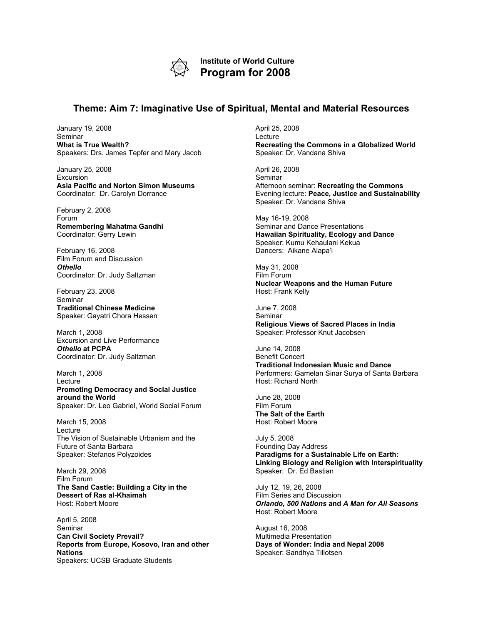

**Institute of World Culture Program for 2008**

## **Theme: Aim 7: Imaginative Use of Spiritual, Mental and Material Resources**

January 19, 2008 Seminar **What is True Wealth?** Speakers: Drs. James Tepfer and Mary Jacob

January 25, 2008 Excursion **Asia Pacific and Norton Simon Museums** Coordinator: Dr. Carolyn Dorrance

February 2, 2008 Forum **Remembering Mahatma Gandhi** Coordinator: Gerry Lewin

February 16, 2008 Film Forum and Discussion *Othello* Coordinator: Dr. Judy Saltzman

February 23, 2008 Seminar **Traditional Chinese Medicine** Speaker: Gayatri Chora Hessen

March 1, 2008 Excursion and Live Performance *Othello* **at PCPA** Coordinator: Dr. Judy Saltzman

March 1, 2008 Lecture **Promoting Democracy and Social Justice around the World** Speaker: Dr. Leo Gabriel, World Social Forum

March 15, 2008 Lecture The Vision of Sustainable Urbanism and the Future of Santa Barbara Speaker: Stefanos Polyzoides

March 29, 2008 Film Forum **The Sand Castle: Building a City in the Dessert of Ras al-Khaimah** Host: Robert Moore

April 5, 2008 Seminar **Can Civil Society Prevail? Reports from Europe, Kosovo, Iran and other Nations** Speakers: UCSB Graduate Students

April 25, 2008 Lecture **Recreating the Commons in a Globalized World** Speaker: Dr. Vandana Shiva

April 26, 2008 Seminar Afternoon seminar: **Recreating the Commons** Evening lecture: **Peace, Justice and Sustainability** Speaker: Dr. Vandana Shiva

May 16-19, 2008 Seminar and Dance Presentations **Hawaiian Spirituality, Ecology and Dance** Speaker: Kumu Kehaulani Kekua Dancers: Aikane Alapa'i

May 31, 2008 Film Forum **Nuclear Weapons and the Human Future** Host: Frank Kelly

June 7, 2008 **Seminar Religious Views of Sacred Places in India** Speaker: Professor Knut Jacobsen

June 14, 2008 Benefit Concert **Traditional Indonesian Music and Dance** Performers: Gamelan Sinar Surya of Santa Barbara Host: Richard North

June 28, 2008 Film Forum **The Salt of the Earth** Host: Robert Moore

July 5, 2008 Founding Day Address **Paradigms for a Sustainable Life on Earth: Linking Biology and Religion with Interspirituality** Speaker: Dr. Ed Bastian

July 12, 19, 26, 2008 Film Series and Discussion *Orlando***,** *500 Nations* **and** *A Man for All Seasons* Host: Robert Moore

August 16, 2008 Multimedia Presentation **Days of Wonder: India and Nepal 2008** Speaker: Sandhya Tillotsen